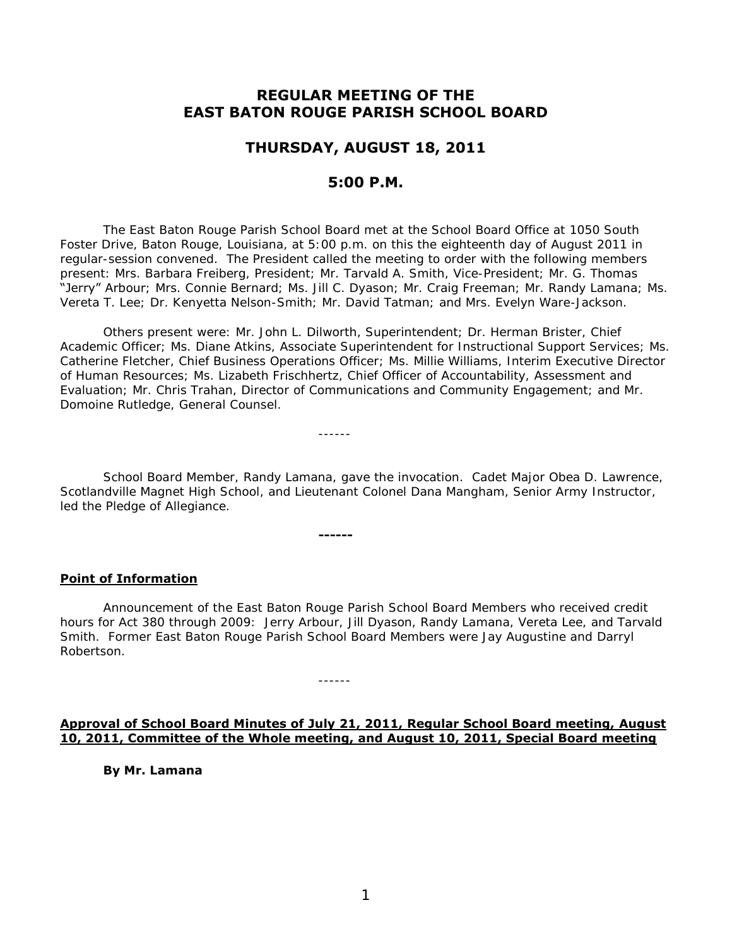# **REGULAR MEETING OF THE EAST BATON ROUGE PARISH SCHOOL BOARD**

## **THURSDAY, AUGUST 18, 2011**

## **5:00 P.M.**

 The East Baton Rouge Parish School Board met at the School Board Office at 1050 South Foster Drive, Baton Rouge, Louisiana, at 5:00 p.m. on this the eighteenth day of August 2011 in regular-session convened. The President called the meeting to order with the following members present: Mrs. Barbara Freiberg, President; Mr. Tarvald A. Smith, Vice-President; Mr. G. Thomas "Jerry" Arbour; Mrs. Connie Bernard; Ms. Jill C. Dyason; Mr. Craig Freeman; Mr. Randy Lamana; Ms. Vereta T. Lee; Dr. Kenyetta Nelson-Smith; Mr. David Tatman; and Mrs. Evelyn Ware-Jackson.

Others present were: Mr. John L. Dilworth, Superintendent; Dr. Herman Brister, Chief Academic Officer; Ms. Diane Atkins, Associate Superintendent for Instructional Support Services; Ms. Catherine Fletcher, Chief Business Operations Officer; Ms. Millie Williams, Interim Executive Director of Human Resources; Ms. Lizabeth Frischhertz, Chief Officer of Accountability, Assessment and Evaluation; Mr. Chris Trahan, Director of Communications and Community Engagement; and Mr. Domoine Rutledge, General Counsel.

------

**------**

------

School Board Member, Randy Lamana, gave the invocation. Cadet Major Obea D. Lawrence, Scotlandville Magnet High School, and Lieutenant Colonel Dana Mangham, Senior Army Instructor, led the Pledge of Allegiance.

#### **Point of Information**

 Announcement of the East Baton Rouge Parish School Board Members who received credit hours for Act 380 through 2009: Jerry Arbour, Jill Dyason, Randy Lamana, Vereta Lee, and Tarvald Smith. Former East Baton Rouge Parish School Board Members were Jay Augustine and Darryl Robertson.

## **Approval of School Board Minutes of July 21, 2011, Regular School Board meeting, August 10, 2011, Committee of the Whole meeting, and August 10, 2011, Special Board meeting**

 **By Mr. Lamana**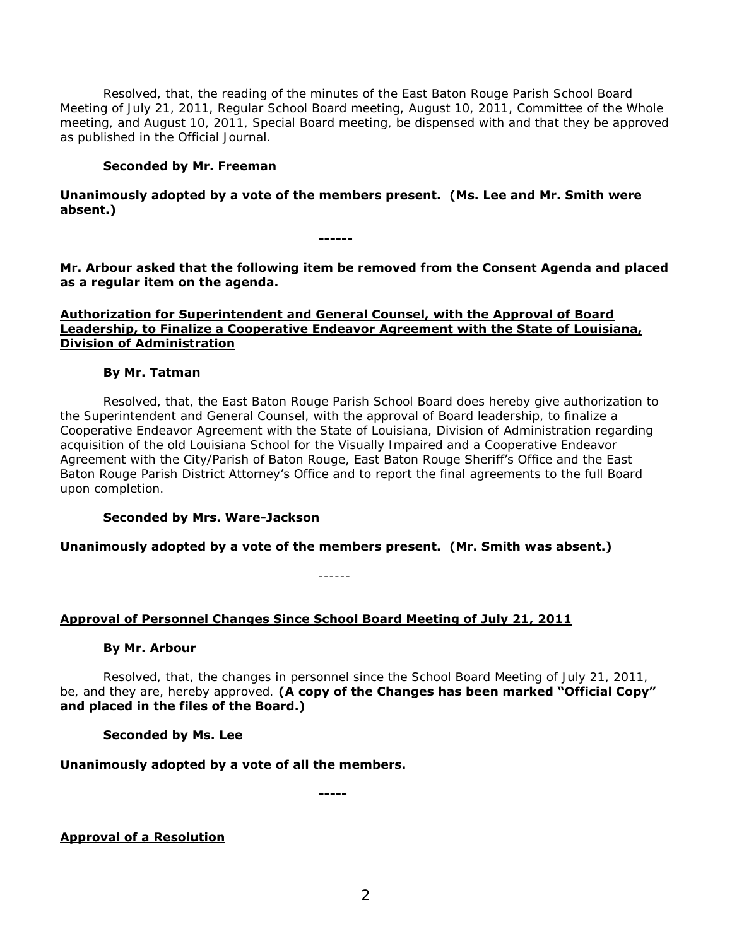Resolved, that, the reading of the minutes of the East Baton Rouge Parish School Board Meeting of July 21, 2011, Regular School Board meeting, August 10, 2011, Committee of the Whole meeting, and August 10, 2011, Special Board meeting, be dispensed with and that they be approved as published in the Official Journal.

## **Seconded by Mr. Freeman**

**Unanimously adopted by a vote of the members present. (Ms. Lee and Mr. Smith were absent.)** 

**Mr. Arbour asked that the following item be removed from the Consent Agenda and placed as a regular item on the agenda.** 

**------**

### **Authorization for Superintendent and General Counsel, with the Approval of Board Leadership, to Finalize a Cooperative Endeavor Agreement with the State of Louisiana, Division of Administration**

## **By Mr. Tatman**

Resolved, that, the East Baton Rouge Parish School Board does hereby give authorization to the Superintendent and General Counsel, with the approval of Board leadership, to finalize a Cooperative Endeavor Agreement with the State of Louisiana, Division of Administration regarding acquisition of the old Louisiana School for the Visually Impaired and a Cooperative Endeavor Agreement with the City/Parish of Baton Rouge, East Baton Rouge Sheriff's Office and the East Baton Rouge Parish District Attorney's Office and to report the final agreements to the full Board upon completion.

## **Seconded by Mrs. Ware-Jackson**

**Unanimously adopted by a vote of the members present. (Mr. Smith was absent.)** 

------

## **Approval of Personnel Changes Since School Board Meeting of July 21, 2011**

## **By Mr. Arbour**

 Resolved, that, the changes in personnel since the School Board Meeting of July 21, 2011, be, and they are, hereby approved. **(A copy of the Changes has been marked "Official Copy" and placed in the files of the Board.)**

## **Seconded by Ms. Lee**

## **Unanimously adopted by a vote of all the members.**

**-----**

**Approval of a Resolution**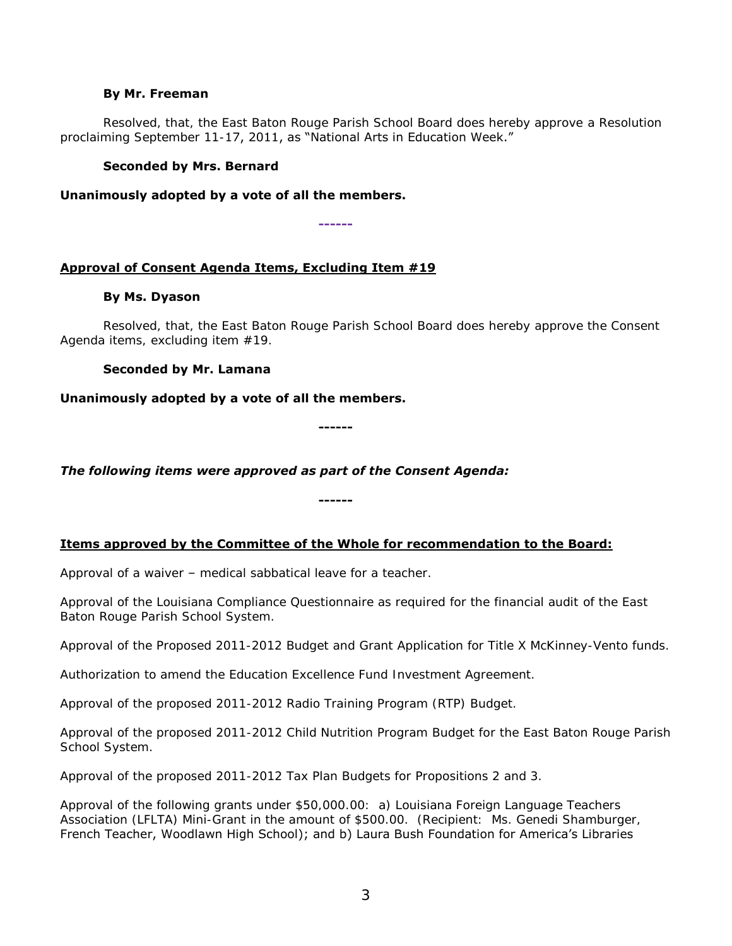#### **By Mr. Freeman**

Resolved, that, the East Baton Rouge Parish School Board does hereby approve a Resolution proclaiming September 11-17, 2011, as "National Arts in Education Week."

### **Seconded by Mrs. Bernard**

**Unanimously adopted by a vote of all the members.** 

**------**

## **Approval of Consent Agenda Items, Excluding Item #19**

## **By Ms. Dyason**

Resolved, that, the East Baton Rouge Parish School Board does hereby approve the Consent Agenda items, excluding item #19.

## **Seconded by Mr. Lamana**

**Unanimously adopted by a vote of all the members.** 

**------**

*The following items were approved as part of the Consent Agenda:* 

## **Items approved by the Committee of the Whole for recommendation to the Board:**

**------**

Approval of a waiver – medical sabbatical leave for a teacher.

Approval of the Louisiana Compliance Questionnaire as required for the financial audit of the East Baton Rouge Parish School System.

Approval of the Proposed 2011-2012 Budget and Grant Application for Title X McKinney-Vento funds.

Authorization to amend the Education Excellence Fund Investment Agreement.

Approval of the proposed 2011-2012 Radio Training Program (RTP) Budget.

Approval of the proposed 2011-2012 Child Nutrition Program Budget for the East Baton Rouge Parish School System.

Approval of the proposed 2011-2012 Tax Plan Budgets for Propositions 2 and 3.

Approval of the following grants under \$50,000.00: a) Louisiana Foreign Language Teachers Association (LFLTA) Mini-Grant in the amount of \$500.00. (Recipient: Ms. Genedi Shamburger, French Teacher, Woodlawn High School); and b) Laura Bush Foundation for America's Libraries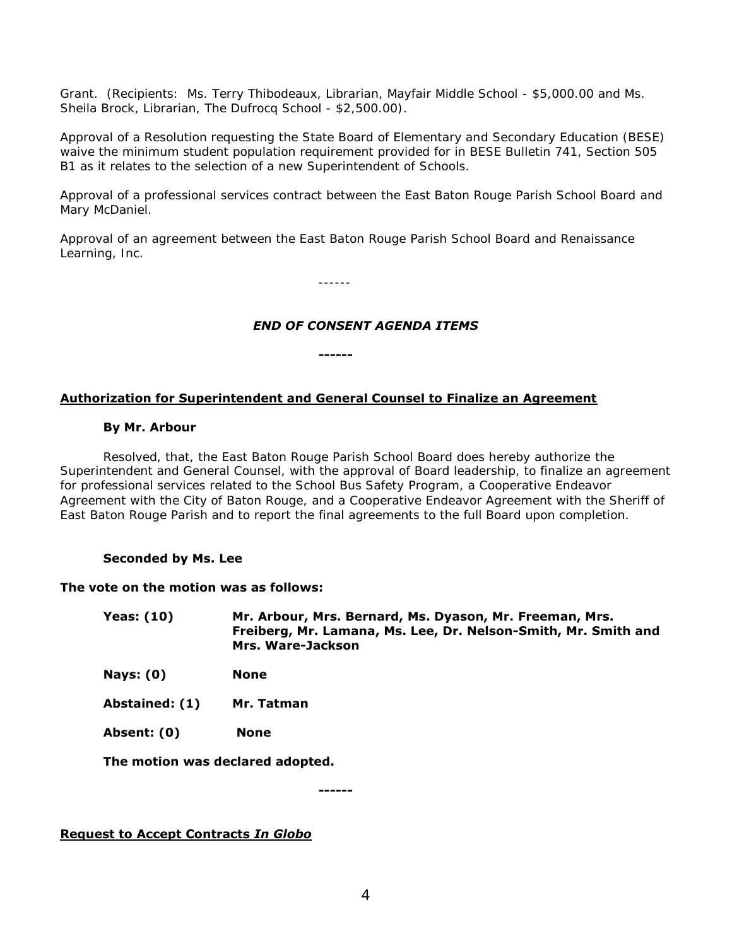Grant. (Recipients: Ms. Terry Thibodeaux, Librarian, Mayfair Middle School - \$5,000.00 and Ms. Sheila Brock, Librarian, The Dufrocq School - \$2,500.00).

Approval of a Resolution requesting the State Board of Elementary and Secondary Education (BESE) waive the minimum student population requirement provided for in BESE Bulletin 741, Section 505 B1 as it relates to the selection of a new Superintendent of Schools.

Approval of a professional services contract between the East Baton Rouge Parish School Board and Mary McDaniel.

Approval of an agreement between the East Baton Rouge Parish School Board and Renaissance Learning, Inc.

------

## *END OF CONSENT AGENDA ITEMS*

## **Authorization for Superintendent and General Counsel to Finalize an Agreement**

**------**

### **By Mr. Arbour**

Resolved, that, the East Baton Rouge Parish School Board does hereby authorize the Superintendent and General Counsel, with the approval of Board leadership, to finalize an agreement for professional services related to the School Bus Safety Program, a Cooperative Endeavor Agreement with the City of Baton Rouge, and a Cooperative Endeavor Agreement with the Sheriff of East Baton Rouge Parish and to report the final agreements to the full Board upon completion.

## **Seconded by Ms. Lee**

#### **The vote on the motion was as follows:**

- **Yeas: (10) Mr. Arbour, Mrs. Bernard, Ms. Dyason, Mr. Freeman, Mrs. Freiberg, Mr. Lamana, Ms. Lee, Dr. Nelson-Smith, Mr. Smith and Mrs. Ware-Jackson**
- **Nays: (0) None**
- **Abstained: (1) Mr. Tatman**
- **Absent: (0) None**

**The motion was declared adopted.** 

**------**

**Request to Accept Contracts** *In Globo*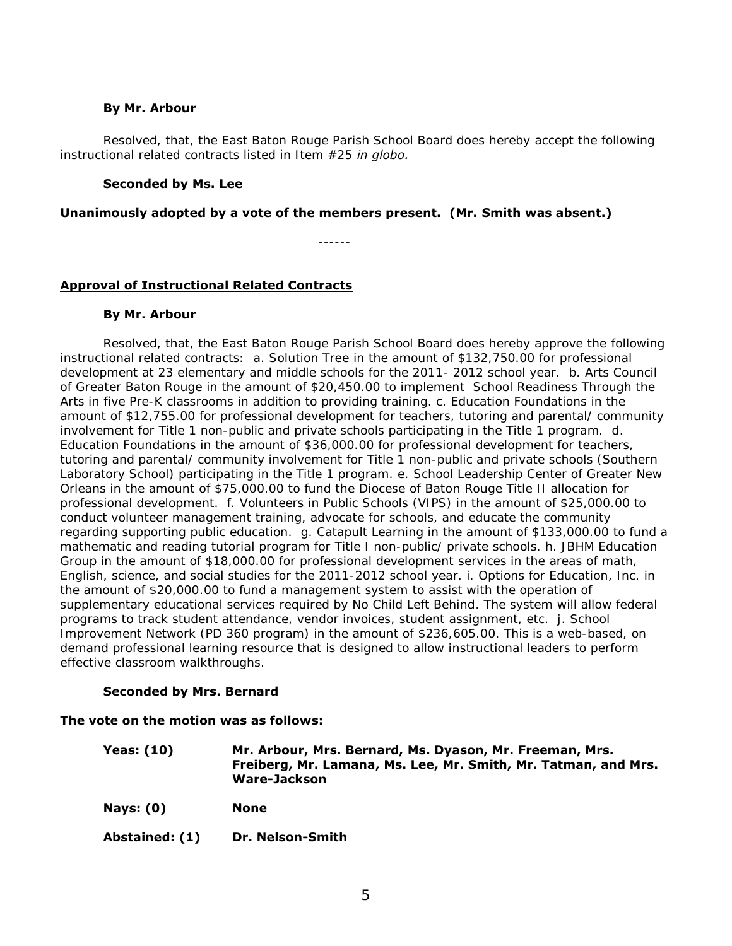## **By Mr. Arbour**

Resolved, that, the East Baton Rouge Parish School Board does hereby accept the following instructional related contracts listed in Item #25 *in globo.* 

### **Seconded by Ms. Lee**

### **Unanimously adopted by a vote of the members present. (Mr. Smith was absent.)**

## **Approval of Instructional Related Contracts**

### **By Mr. Arbour**

Resolved, that, the East Baton Rouge Parish School Board does hereby approve the following instructional related contracts: a. Solution Tree in the amount of \$132,750.00 for professional development at 23 elementary and middle schools for the 2011- 2012 school year. b. Arts Council of Greater Baton Rouge in the amount of \$20,450.00 to implement School Readiness Through the Arts in five Pre-K classrooms in addition to providing training. c. Education Foundations in the amount of \$12,755.00 for professional development for teachers, tutoring and parental/ community involvement for Title 1 non-public and private schools participating in the Title 1 program. d. Education Foundations in the amount of \$36,000.00 for professional development for teachers, tutoring and parental/ community involvement for Title 1 non-public and private schools (Southern Laboratory School) participating in the Title 1 program. e. School Leadership Center of Greater New Orleans in the amount of \$75,000.00 to fund the Diocese of Baton Rouge Title II allocation for professional development. f. Volunteers in Public Schools (VIPS) in the amount of \$25,000.00 to conduct volunteer management training, advocate for schools, and educate the community regarding supporting public education. g. Catapult Learning in the amount of \$133,000.00 to fund a mathematic and reading tutorial program for Title I non-public/ private schools. h. JBHM Education Group in the amount of \$18,000.00 for professional development services in the areas of math, English, science, and social studies for the 2011-2012 school year. i. Options for Education, Inc. in the amount of \$20,000.00 to fund a management system to assist with the operation of supplementary educational services required by No Child Left Behind. The system will allow federal programs to track student attendance, vendor invoices, student assignment, etc. j. School Improvement Network (PD 360 program) in the amount of \$236,605.00. This is a web-based, on demand professional learning resource that is designed to allow instructional leaders to perform effective classroom walkthroughs.

## **Seconded by Mrs. Bernard**

#### **The vote on the motion was as follows:**

| Yeas: (10) | Mr. Arbour, Mrs. Bernard, Ms. Dyason, Mr. Freeman, Mrs.        |
|------------|----------------------------------------------------------------|
|            | Freiberg, Mr. Lamana, Ms. Lee, Mr. Smith, Mr. Tatman, and Mrs. |
|            | Ware-Jackson                                                   |

- **Nays: (0) None**
- **Abstained: (1) Dr. Nelson-Smith**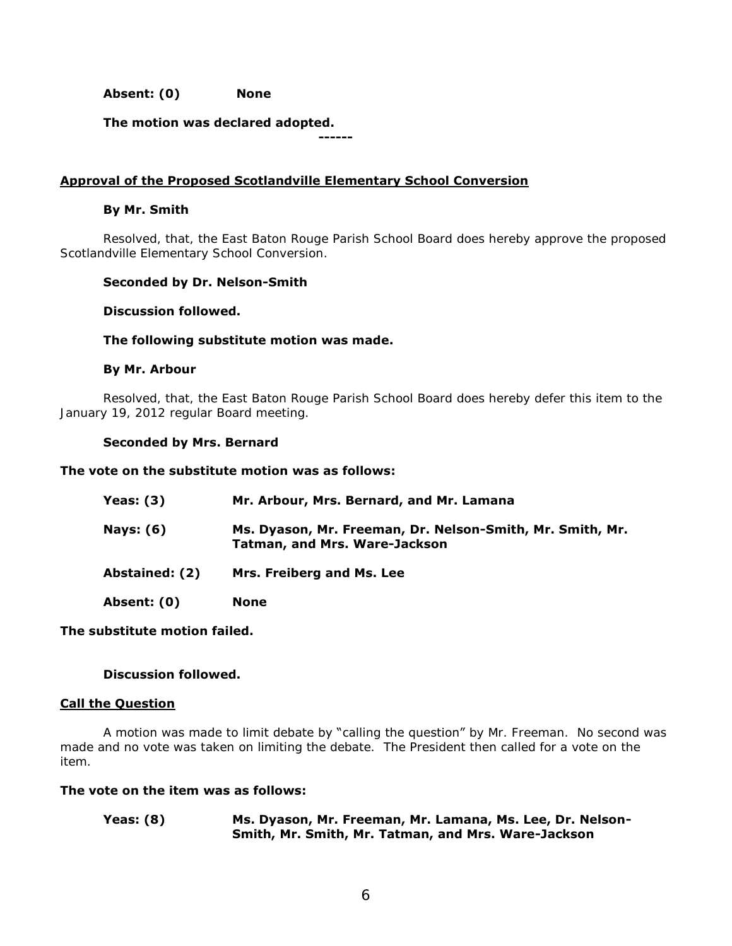**Absent: (0) None** 

**The motion was declared adopted.** 

## **Approval of the Proposed Scotlandville Elementary School Conversion**

**------**

### **By Mr. Smith**

Resolved, that, the East Baton Rouge Parish School Board does hereby approve the proposed Scotlandville Elementary School Conversion.

### **Seconded by Dr. Nelson-Smith**

#### **Discussion followed.**

### **The following substitute motion was made.**

### **By Mr. Arbour**

 Resolved, that, the East Baton Rouge Parish School Board does hereby defer this item to the January 19, 2012 regular Board meeting.

### **Seconded by Mrs. Bernard**

#### **The vote on the substitute motion was as follows:**

| Yeas: $(3)$      | Mr. Arbour, Mrs. Bernard, and Mr. Lamana                                                          |
|------------------|---------------------------------------------------------------------------------------------------|
| <b>Nays: (6)</b> | Ms. Dyason, Mr. Freeman, Dr. Nelson-Smith, Mr. Smith, Mr.<br><b>Tatman, and Mrs. Ware-Jackson</b> |
| Abstained: (2)   | Mrs. Freiberg and Ms. Lee                                                                         |
| Absent: (0)      | None                                                                                              |
|                  |                                                                                                   |

**The substitute motion failed.** 

## **Discussion followed.**

#### **Call the Question**

A motion was made to limit debate by "calling the question" by Mr. Freeman. No second was made and no vote was taken on limiting the debate. The President then called for a vote on the item.

## **The vote on the item was as follows:**

**Yeas: (8) Ms. Dyason, Mr. Freeman, Mr. Lamana, Ms. Lee, Dr. Nelson-Smith, Mr. Smith, Mr. Tatman, and Mrs. Ware-Jackson**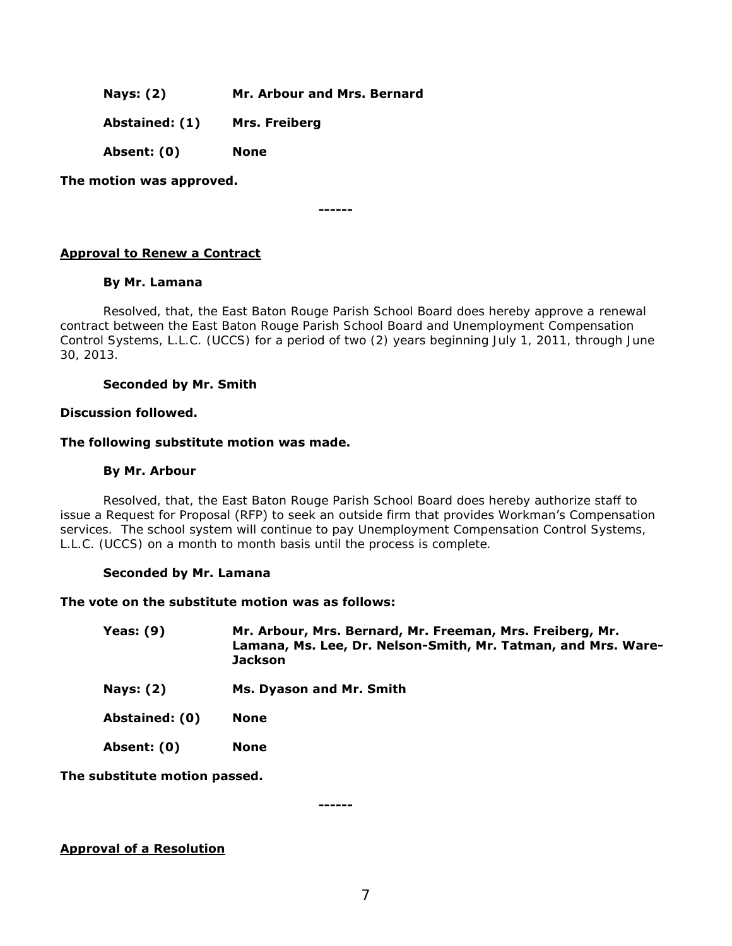**Nays: (2) Mr. Arbour and Mrs. Bernard** 

**Abstained: (1) Mrs. Freiberg** 

**Absent: (0) None** 

**The motion was approved.** 

**------**

## **Approval to Renew a Contract**

## **By Mr. Lamana**

 Resolved, that, the East Baton Rouge Parish School Board does hereby approve a renewal contract between the East Baton Rouge Parish School Board and Unemployment Compensation Control Systems, L.L.C. (UCCS) for a period of two (2) years beginning July 1, 2011, through June 30, 2013.

## **Seconded by Mr. Smith**

### **Discussion followed.**

### **The following substitute motion was made.**

### **By Mr. Arbour**

 Resolved, that, the East Baton Rouge Parish School Board does hereby authorize staff to issue a Request for Proposal (RFP) to seek an outside firm that provides Workman's Compensation services. The school system will continue to pay Unemployment Compensation Control Systems, L.L.C. (UCCS) on a month to month basis until the process is complete.

## **Seconded by Mr. Lamana**

## **The vote on the substitute motion was as follows:**

| Yeas: $(9)$    | Mr. Arbour, Mrs. Bernard, Mr. Freeman, Mrs. Freiberg, Mr.<br>Lamana, Ms. Lee, Dr. Nelson-Smith, Mr. Tatman, and Mrs. Ware-<br><b>Jackson</b> |
|----------------|----------------------------------------------------------------------------------------------------------------------------------------------|
| Nays: $(2)$    | Ms. Dyason and Mr. Smith                                                                                                                     |
| Abstained: (0) | <b>None</b>                                                                                                                                  |
| Absent: (0)    | <b>None</b>                                                                                                                                  |

**The substitute motion passed.** 

**------**

#### **Approval of a Resolution**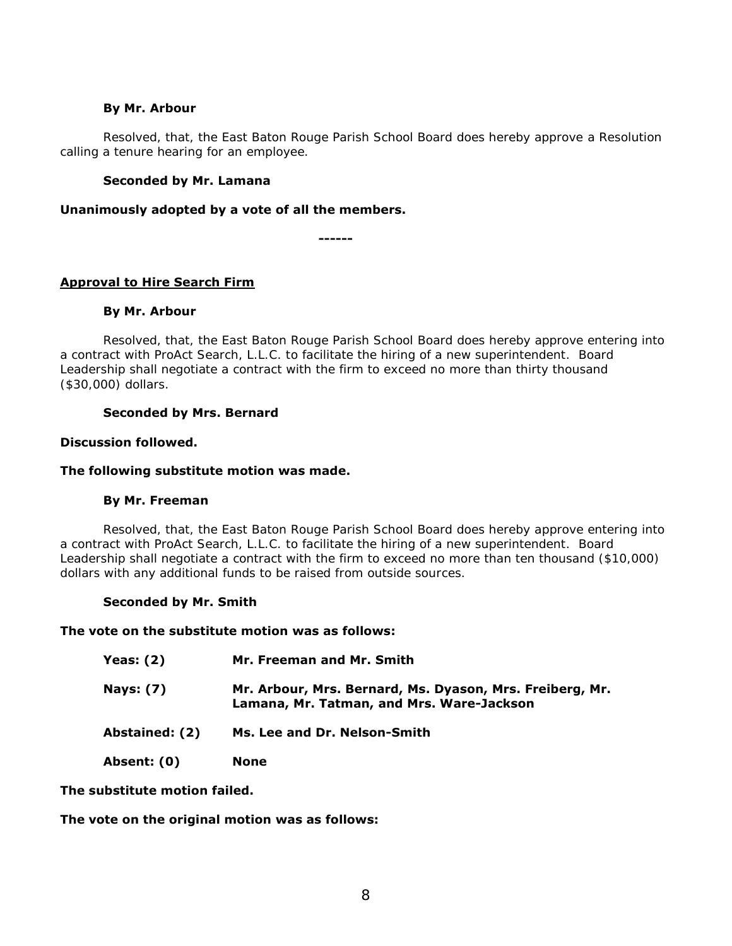### **By Mr. Arbour**

Resolved, that, the East Baton Rouge Parish School Board does hereby approve a Resolution calling a tenure hearing for an employee.

## **Seconded by Mr. Lamana**

**Unanimously adopted by a vote of all the members.** 

**------**

## **Approval to Hire Search Firm**

## **By Mr. Arbour**

 Resolved, that, the East Baton Rouge Parish School Board does hereby approve entering into a contract with ProAct Search, L.L.C. to facilitate the hiring of a new superintendent. Board Leadership shall negotiate a contract with the firm to exceed no more than thirty thousand (\$30,000) dollars.

## **Seconded by Mrs. Bernard**

## **Discussion followed.**

## **The following substitute motion was made.**

## **By Mr. Freeman**

 Resolved, that, the East Baton Rouge Parish School Board does hereby approve entering into a contract with ProAct Search, L.L.C. to facilitate the hiring of a new superintendent. Board Leadership shall negotiate a contract with the firm to exceed no more than ten thousand (\$10,000) dollars with any additional funds to be raised from outside sources.

## **Seconded by Mr. Smith**

#### **The vote on the substitute motion was as follows:**

| <b>Yeas: (2)</b> | Mr. Freeman and Mr. Smith                                                                             |
|------------------|-------------------------------------------------------------------------------------------------------|
| <b>Nays: (7)</b> | Mr. Arbour, Mrs. Bernard, Ms. Dyason, Mrs. Freiberg, Mr.<br>Lamana, Mr. Tatman, and Mrs. Ware-Jackson |
| Abstained: (2)   | Ms. Lee and Dr. Nelson-Smith                                                                          |
| Absent: (0)      | <b>None</b>                                                                                           |

**The substitute motion failed.** 

**The vote on the original motion was as follows:**